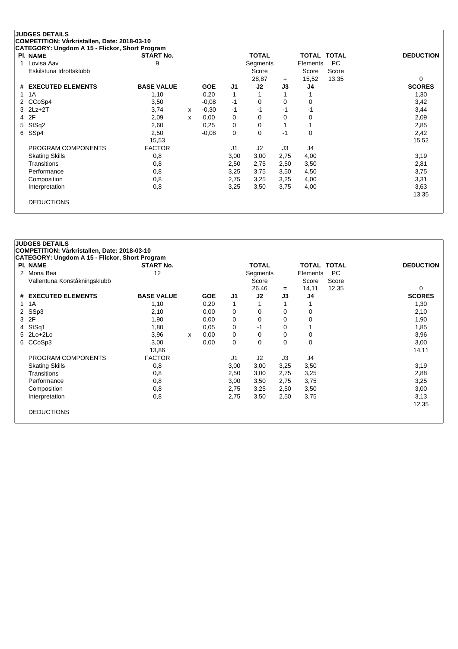| <b>PI. NAME</b>         | <b>START No.</b>  |   |            |                | <b>TOTAL</b>   |      | TOTAL TOTAL |       | <b>DEDUCTION</b> |
|-------------------------|-------------------|---|------------|----------------|----------------|------|-------------|-------|------------------|
| 1 Lovisa Aav            | 9                 |   |            |                | Segments       |      | Elements    | PC.   |                  |
| Eskilstuna Idrottsklubb |                   |   |            |                | Score          |      | Score       | Score |                  |
|                         |                   |   |            |                | 28,87          | $=$  | 15,52       | 13,35 | 0                |
| # EXECUTED ELEMENTS     | <b>BASE VALUE</b> |   | <b>GOE</b> | J <sub>1</sub> | J2             | J3   | J4          |       | <b>SCORES</b>    |
| 1 1 A                   | 1,10              |   | 0,20       | $\mathbf{1}$   |                |      |             |       | 1,30             |
| 2 CCoSp4                | 3,50              |   | $-0.08$    | -1             | 0              | 0    | 0           |       | 3,42             |
| $3$ $2Lz+2T$            | 3,74              | х | $-0,30$    | -1             | -1             | -1   | -1          |       | 3,44             |
| 4 2F                    | 2,09              | x | 0,00       | 0              | 0              | 0    | 0           |       | 2,09             |
| 5 StSq2                 | 2,60              |   | 0,25       | 0              | 0              |      |             |       | 2,85             |
| 6 SSp4                  | 2,50              |   | $-0.08$    | 0              | 0              | $-1$ | 0           |       | 2,42             |
|                         | 15,53             |   |            |                |                |      |             |       | 15,52            |
| PROGRAM COMPONENTS      | <b>FACTOR</b>     |   |            | J1             | J <sub>2</sub> | J3   | J4          |       |                  |
| <b>Skating Skills</b>   | 0,8               |   |            | 3,00           | 3,00           | 2,75 | 4,00        |       | 3,19             |
| Transitions             | 0,8               |   |            | 2,50           | 2,75           | 2,50 | 3,50        |       | 2,81             |
| Performance             | 0,8               |   |            | 3,25           | 3,75           | 3,50 | 4,50        |       | 3,75             |
| Composition             | 0,8               |   |            | 2,75           | 3,25           | 3,25 | 4,00        |       | 3,31             |
| Interpretation          | 0,8               |   |            | 3,25           | 3,50           | 3,75 | 4,00        |       | 3,63             |
|                         |                   |   |            |                |                |      |             |       | 13,35            |
| <b>DEDUCTIONS</b>       |                   |   |            |                |                |      |             |       |                  |

| <b>PI. NAME</b>              | <b>START No.</b>  |   |            |                | <b>TOTAL</b>   |          | <b>TOTAL TOTAL</b> |           | <b>DEDUCTION</b> |
|------------------------------|-------------------|---|------------|----------------|----------------|----------|--------------------|-----------|------------------|
| 2 Mona Bea                   | 12                |   |            |                | Segments       |          | Elements           | <b>PC</b> |                  |
| Vallentuna Konståkningsklubb |                   |   |            |                | Score          |          | Score              | Score     |                  |
|                              |                   |   |            |                | 26,46          | $=$      | 14,11              | 12,35     | 0                |
| # EXECUTED ELEMENTS          | <b>BASE VALUE</b> |   | <b>GOE</b> | J <sub>1</sub> | J2             | J3       | J4                 |           | <b>SCORES</b>    |
| 1 1 A                        | 1,10              |   | 0,20       | 1              |                |          |                    |           | 1,30             |
| 2 SSp3                       | 2,10              |   | 0,00       | 0              | 0              | $\Omega$ | 0                  |           | 2,10             |
| 3 2F                         | 1,90              |   | 0,00       | 0              | 0              | 0        | 0                  |           | 1,90             |
| 4 StSq1                      | 1,80              |   | 0,05       | 0              | -1             | 0        |                    |           | 1,85             |
| $5$ 2Lo+2Lo                  | 3,96              | x | 0,00       | 0              | 0              | 0        | 0                  |           | 3,96             |
| 6 CCoSp3                     | 3,00              |   | 0,00       | 0              | 0              | 0        | $\mathbf 0$        |           | 3,00             |
|                              | 13,86             |   |            |                |                |          |                    |           | 14,11            |
| PROGRAM COMPONENTS           | <b>FACTOR</b>     |   |            | J <sub>1</sub> | J <sub>2</sub> | J3       | J4                 |           |                  |
| <b>Skating Skills</b>        | 0,8               |   |            | 3,00           | 3,00           | 3,25     | 3,50               |           | 3,19             |
| Transitions                  | 0,8               |   |            | 2,50           | 3,00           | 2,75     | 3,25               |           | 2,88             |
| Performance                  | 0,8               |   |            | 3,00           | 3,50           | 2,75     | 3,75               |           | 3,25             |
| Composition                  | 0,8               |   |            | 2,75           | 3,25           | 2,50     | 3,50               |           | 3,00             |
| Interpretation               | 0,8               |   |            | 2,75           | 3,50           | 2,50     | 3,75               |           | 3,13             |
|                              |                   |   |            |                |                |          |                    |           | 12,35            |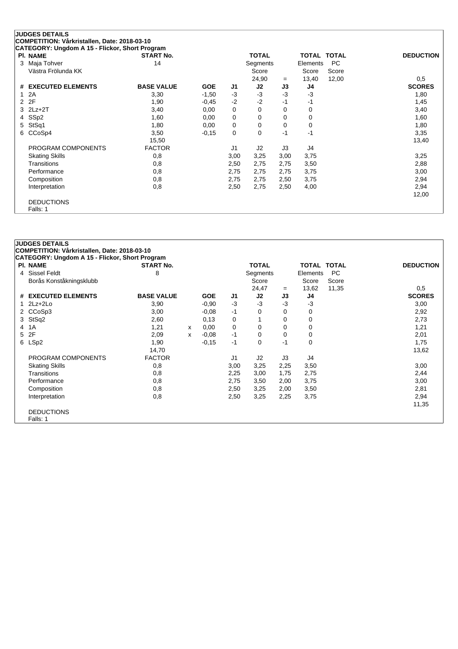| CATEGORY: Ungdom A 15 - Flickor, Short Program |                   |            |                |              |      |                    |           |                  |
|------------------------------------------------|-------------------|------------|----------------|--------------|------|--------------------|-----------|------------------|
| <b>PI. NAME</b>                                | <b>START No.</b>  |            |                | <b>TOTAL</b> |      | <b>TOTAL TOTAL</b> |           | <b>DEDUCTION</b> |
| 3 Maja Tohver                                  | 14                |            |                | Segments     |      | Elements           | <b>PC</b> |                  |
| Västra Frölunda KK                             |                   |            |                | Score        |      | Score              | Score     |                  |
|                                                |                   |            |                | 24,90        | $=$  | 13,40              | 12,00     | 0,5              |
| # EXECUTED ELEMENTS                            | <b>BASE VALUE</b> | <b>GOE</b> | J1             | J2           | J3   | J4                 |           | <b>SCORES</b>    |
| 1 2A                                           | 3,30              | $-1,50$    | $-3$           | $-3$         | -3   | $-3$               |           | 1,80             |
| 2 2F                                           | 1,90              | $-0,45$    | $-2$           | $-2$         | $-1$ | -1                 |           | 1,45             |
| $3$ $2Lz+2T$                                   | 3,40              | 0,00       | 0              | 0            | 0    | 0                  |           | 3,40             |
| 4 SSp2                                         | 1,60              | 0,00       | 0              | 0            | 0    | 0                  |           | 1,60             |
| 5 StSq1                                        | 1,80              | 0,00       | 0              | 0            | 0    | 0                  |           | 1,80             |
| 6 CCoSp4                                       | 3,50              | $-0,15$    | 0              | 0            | $-1$ | $-1$               |           | 3,35             |
|                                                | 15,50             |            |                |              |      |                    |           | 13,40            |
| PROGRAM COMPONENTS                             | <b>FACTOR</b>     |            | J <sub>1</sub> | J2           | J3   | J4                 |           |                  |
| <b>Skating Skills</b>                          | 0,8               |            | 3,00           | 3,25         | 3,00 | 3,75               |           | 3,25             |
| Transitions                                    | 0,8               |            | 2,50           | 2,75         | 2,75 | 3,50               |           | 2,88             |
| Performance                                    | 0,8               |            | 2,75           | 2,75         | 2,75 | 3,75               |           | 3,00             |
| Composition                                    | 0,8               |            | 2,75           | 2,75         | 2,50 | 3,75               |           | 2,94             |
| Interpretation                                 | 0,8               |            | 2,50           | 2,75         | 2,50 | 4,00               |           | 2,94             |
|                                                |                   |            |                |              |      |                    |           | 12,00            |
| <b>DEDUCTIONS</b>                              |                   |            |                |              |      |                    |           |                  |
| Falls: 1                                       |                   |            |                |              |      |                    |           |                  |

| <b>JUDGES DETAILS</b><br>COMPETITION: Vårkristallen, Date: 2018-03-10<br><b>CATEGORY: Ungdom A 15 - Flickor, Short Program</b> |                   |   |            |                |              |          |             |           |                  |
|--------------------------------------------------------------------------------------------------------------------------------|-------------------|---|------------|----------------|--------------|----------|-------------|-----------|------------------|
| <b>PI. NAME</b>                                                                                                                | <b>START No.</b>  |   |            |                | <b>TOTAL</b> |          | TOTAL TOTAL |           | <b>DEDUCTION</b> |
| 4 Sissel Feldt                                                                                                                 | 8                 |   |            |                | Segments     |          | Elements    | <b>PC</b> |                  |
| Borås Konståkningsklubb                                                                                                        |                   |   |            |                | Score        |          | Score       | Score     |                  |
|                                                                                                                                |                   |   |            |                | 24,47        | $=$      | 13,62       | 11,35     | 0,5              |
| # EXECUTED ELEMENTS                                                                                                            | <b>BASE VALUE</b> |   | <b>GOE</b> | J <sub>1</sub> | J2           | J3       | J4          |           | <b>SCORES</b>    |
| $1$ $2Lz+2Lo$                                                                                                                  | 3,90              |   | $-0.90$    | $-3$           | -3           | $-3$     | -3          |           | 3,00             |
| 2 CCoSp3                                                                                                                       | 3,00              |   | $-0.08$    | -1             | 0            | 0        | 0           |           | 2,92             |
| 3 StSq2                                                                                                                        | 2,60              |   | 0,13       | 0              | 1            | $\Omega$ | 0           |           | 2,73             |
| 4 1 A                                                                                                                          | 1,21              | X | 0,00       | 0              | 0            | $\Omega$ | 0           |           | 1,21             |
| 5 2F                                                                                                                           | 2,09              | X | $-0.08$    | -1             | $\mathbf 0$  | $\Omega$ | 0           |           | 2,01             |
| 6 LSp2                                                                                                                         | 1,90              |   | $-0,15$    | -1             | 0            | $-1$     | 0           |           | 1,75             |
|                                                                                                                                | 14,70             |   |            |                |              |          |             |           | 13,62            |
| PROGRAM COMPONENTS                                                                                                             | <b>FACTOR</b>     |   |            | J <sub>1</sub> | J2           | J3       | J4          |           |                  |
| <b>Skating Skills</b>                                                                                                          | 0,8               |   |            | 3,00           | 3,25         | 2,25     | 3,50        |           | 3,00             |
| Transitions                                                                                                                    | 0,8               |   |            | 2,25           | 3,00         | 1,75     | 2,75        |           | 2,44             |
| Performance                                                                                                                    | 0,8               |   |            | 2,75           | 3,50         | 2,00     | 3,75        |           | 3,00             |
| Composition                                                                                                                    | 0,8               |   |            | 2,50           | 3,25         | 2,00     | 3,50        |           | 2,81             |
| Interpretation                                                                                                                 | 0,8               |   |            | 2,50           | 3,25         | 2,25     | 3,75        |           | 2,94             |
|                                                                                                                                |                   |   |            |                |              |          |             |           | 11,35            |
| <b>DEDUCTIONS</b>                                                                                                              |                   |   |            |                |              |          |             |           |                  |
| Falls: 1                                                                                                                       |                   |   |            |                |              |          |             |           |                  |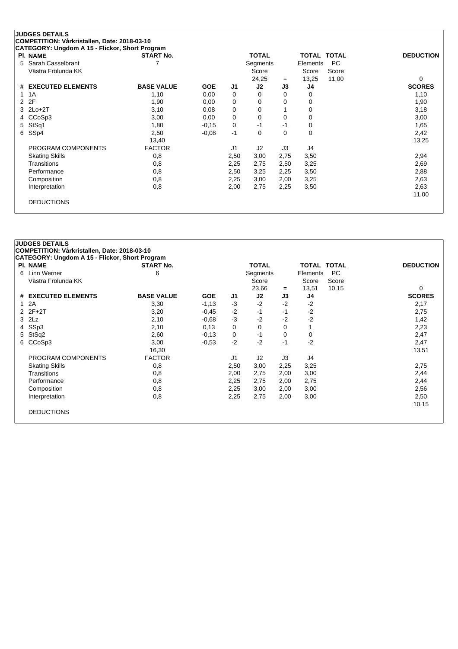| <b>PI. NAME</b>       | <b>START No.</b>  |            |                | <b>TOTAL</b>   |          | <b>TOTAL TOTAL</b> |           | <b>DEDUCTION</b> |
|-----------------------|-------------------|------------|----------------|----------------|----------|--------------------|-----------|------------------|
| 5 Sarah Casselbrant   |                   |            |                | Segments       |          | Elements           | <b>PC</b> |                  |
| Västra Frölunda KK    |                   |            |                | Score          |          | Score              | Score     |                  |
|                       |                   |            |                | 24,25          | $=$      | 13,25              | 11,00     | 0                |
| # EXECUTED ELEMENTS   | <b>BASE VALUE</b> | <b>GOE</b> | J1             | J2             | J3       | J4                 |           | <b>SCORES</b>    |
| 1 1 A                 | 1,10              | 0,00       | 0              | 0              | 0        | 0                  |           | 1,10             |
| 2 2F                  | 1,90              | 0,00       | 0              | 0              | 0        | 0                  |           | 1,90             |
| 3 2Lo+2T              | 3,10              | 0,08       | 0              | 0              |          | 0                  |           | 3,18             |
| 4 CCoSp3              | 3,00              | 0,00       | 0              | 0              | 0        | 0                  |           | 3,00             |
| 5 StSq1               | 1,80              | $-0.15$    | 0              | -1             | -1       | 0                  |           | 1,65             |
| 6 SSp4                | 2,50              | $-0.08$    | $-1$           | $\Omega$       | $\Omega$ | 0                  |           | 2,42             |
|                       | 13,40             |            |                |                |          |                    |           | 13,25            |
| PROGRAM COMPONENTS    | <b>FACTOR</b>     |            | J <sub>1</sub> | J <sub>2</sub> | J3       | J4                 |           |                  |
| <b>Skating Skills</b> | 0,8               |            | 2,50           | 3,00           | 2,75     | 3,50               |           | 2,94             |
| Transitions           | 0,8               |            | 2,25           | 2,75           | 2,50     | 3,25               |           | 2,69             |
| Performance           | 0,8               |            | 2,50           | 3,25           | 2,25     | 3,50               |           | 2,88             |
| Composition           | 0,8               |            | 2,25           | 3,00           | 2,00     | 3,25               |           | 2,63             |
| Interpretation        | 0,8               |            | 2,00           | 2,75           | 2,25     | 3,50               |           | 2,63             |
|                       |                   |            |                |                |          |                    |           | 11,00            |

| <b>PI. NAME</b>       | <b>START No.</b>  |            |      | <b>TOTAL</b> |      | <b>TOTAL TOTAL</b> |           | <b>DEDUCTION</b> |
|-----------------------|-------------------|------------|------|--------------|------|--------------------|-----------|------------------|
| 6 Linn Werner         | 6                 |            |      | Segments     |      | Elements           | <b>PC</b> |                  |
| Västra Frölunda KK    |                   |            |      | Score        |      | Score              | Score     |                  |
|                       |                   |            |      | 23,66        | $=$  | 13,51              | 10,15     | 0                |
| # EXECUTED ELEMENTS   | <b>BASE VALUE</b> | <b>GOE</b> | J1   | J2           | J3   | J4                 |           | <b>SCORES</b>    |
| 1 2A                  | 3,30              | $-1,13$    | $-3$ | $-2$         | $-2$ | $-2$               |           | 2,17             |
| $2Z + 2T$             | 3,20              | $-0,45$    | $-2$ | -1           | -1   | $-2$               |           | 2,75             |
| $3$ $2Lz$             | 2,10              | $-0.68$    | $-3$ | $-2$         | $-2$ | -2                 |           | 1,42             |
| 4 SSp3                | 2,10              | 0,13       | 0    | 0            | 0    |                    |           | 2,23             |
| 5 StSq2               | 2,60              | $-0,13$    | 0    | -1           | 0    | 0                  |           | 2,47             |
| 6 CCoSp3              | 3,00              | $-0.53$    | $-2$ | $-2$         | -1   | $-2$               |           | 2,47             |
|                       | 16,30             |            |      |              |      |                    |           | 13,51            |
| PROGRAM COMPONENTS    | <b>FACTOR</b>     |            | J1   | J2           | J3   | J4                 |           |                  |
| <b>Skating Skills</b> | 0,8               |            | 2,50 | 3,00         | 2,25 | 3,25               |           | 2,75             |
| Transitions           | 0,8               |            | 2,00 | 2,75         | 2,00 | 3,00               |           | 2,44             |
| Performance           | 0,8               |            | 2,25 | 2,75         | 2,00 | 2,75               |           | 2,44             |
| Composition           | 0,8               |            | 2,25 | 3,00         | 2,00 | 3,00               |           | 2,56             |
| Interpretation        | 0,8               |            | 2,25 | 2,75         | 2,00 | 3,00               |           | 2,50             |
|                       |                   |            |      |              |      |                    |           | 10,15            |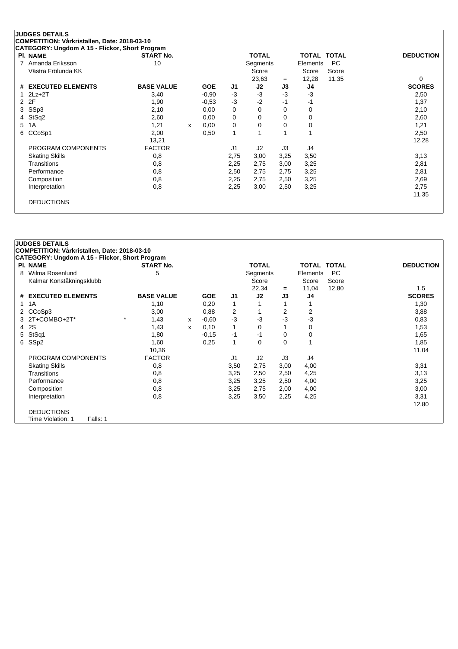| <b>PI. NAME</b>       | <b>START No.</b>  |   |            |                | <b>TOTAL</b>   |      | TOTAL TOTAL |       | <b>DEDUCTION</b> |
|-----------------------|-------------------|---|------------|----------------|----------------|------|-------------|-------|------------------|
| 7 Amanda Eriksson     | 10                |   |            |                | Segments       |      | Elements    | PC.   |                  |
| Västra Frölunda KK    |                   |   |            |                | Score          |      | Score       | Score |                  |
|                       |                   |   |            |                | 23,63          | $=$  | 12,28       | 11,35 | 0                |
| # EXECUTED ELEMENTS   | <b>BASE VALUE</b> |   | <b>GOE</b> | J1             | J2             | J3   | J4          |       | <b>SCORES</b>    |
| $1$ $2Lz+2T$          | 3,40              |   | $-0.90$    | $-3$           | $-3$           | -3   | -3          |       | 2,50             |
| 2 2F                  | 1,90              |   | $-0.53$    | $-3$           | $-2$           | -1   | -1          |       | 1,37             |
| 3 SSp3                | 2,10              |   | 0,00       | 0              | 0              | 0    | 0           |       | 2,10             |
| 4 StSq2               | 2,60              |   | 0,00       | 0              | 0              | 0    | 0           |       | 2,60             |
| 5 1A                  | 1,21              | x | 0,00       | 0              | 0              | 0    | 0           |       | 1,21             |
| 6 CCoSp1              | 2,00              |   | 0,50       | $\mathbf{1}$   |                |      |             |       | 2,50             |
|                       | 13,21             |   |            |                |                |      |             |       | 12,28            |
| PROGRAM COMPONENTS    | <b>FACTOR</b>     |   |            | J <sub>1</sub> | J <sub>2</sub> | J3   | J4          |       |                  |
| <b>Skating Skills</b> | 0,8               |   |            | 2,75           | 3,00           | 3,25 | 3,50        |       | 3,13             |
| Transitions           | 0,8               |   |            | 2,25           | 2,75           | 3,00 | 3,25        |       | 2,81             |
| Performance           | 0,8               |   |            | 2,50           | 2,75           | 2,75 | 3,25        |       | 2,81             |
| Composition           | 0,8               |   |            | 2,25           | 2,75           | 2,50 | 3,25        |       | 2,69             |
| Interpretation        | 0,8               |   |            | 2,25           | 3,00           | 2,50 | 3,25        |       | 2,75             |
|                       |                   |   |            |                |                |      |             |       | 11,35            |
| <b>DEDUCTIONS</b>     |                   |   |            |                |                |      |             |       |                  |

|   | CATEGORY: Ungdom A 15 - Flickor, Short Program<br><b>PI. NAME</b> | <b>START No.</b>  |   |            |      | <b>TOTAL</b> |          | <b>TOTAL</b> | <b>TOTAL</b> |                  |
|---|-------------------------------------------------------------------|-------------------|---|------------|------|--------------|----------|--------------|--------------|------------------|
| 8 | Wilma Rosenlund                                                   | 5                 |   |            |      | Segments     |          | Elements     | <b>PC</b>    | <b>DEDUCTION</b> |
|   | Kalmar Konståkningsklubb                                          |                   |   |            |      | Score        |          | Score        | Score        |                  |
|   |                                                                   |                   |   |            |      | 22,34        | $=$      | 11,04        | 12,80        | 1,5              |
|   | # EXECUTED ELEMENTS                                               | <b>BASE VALUE</b> |   | <b>GOE</b> | J1   | J2           | J3       | J4           |              | <b>SCORES</b>    |
|   | 1 1 A                                                             | 1,10              |   | 0,20       | 1    |              |          |              |              | 1,30             |
|   | 2 CCoSp3                                                          | 3,00              |   | 0,88       | 2    |              | 2        | 2            |              | 3,88             |
|   | 3 2T+COMBO+2T*                                                    | $\star$<br>1,43   | x | $-0.60$    | -3   | $-3$         | -3       | -3           |              | 0,83             |
|   | 4 2 S                                                             | 1,43              | x | 0,10       | 1    | $\Omega$     |          | 0            |              | 1,53             |
| 5 | StSq1                                                             | 1,80              |   | $-0,15$    | $-1$ | -1           | $\Omega$ | 0            |              | 1,65             |
|   | 6 SSp2                                                            | 1,60              |   | 0,25       | 1    | 0            | 0        | 1            |              | 1,85             |
|   |                                                                   | 10,36             |   |            |      |              |          |              |              | 11,04            |
|   | PROGRAM COMPONENTS                                                | <b>FACTOR</b>     |   |            | J1   | J2           | J3       | J4           |              |                  |
|   | <b>Skating Skills</b>                                             | 0,8               |   |            | 3,50 | 2,75         | 3,00     | 4,00         |              | 3,31             |
|   | Transitions                                                       | 0,8               |   |            | 3,25 | 2,50         | 2,50     | 4,25         |              | 3,13             |
|   | Performance                                                       | 0,8               |   |            | 3,25 | 3,25         | 2,50     | 4,00         |              | 3,25             |
|   | Composition                                                       | 0,8               |   |            | 3,25 | 2,75         | 2,00     | 4,00         |              | 3,00             |
|   | Interpretation                                                    | 0,8               |   |            | 3,25 | 3,50         | 2,25     | 4,25         |              | 3,31             |
|   |                                                                   |                   |   |            |      |              |          |              |              | 12,80            |
|   | <b>DEDUCTIONS</b>                                                 |                   |   |            |      |              |          |              |              |                  |
|   | Time Violation: 1<br>Falls: 1                                     |                   |   |            |      |              |          |              |              |                  |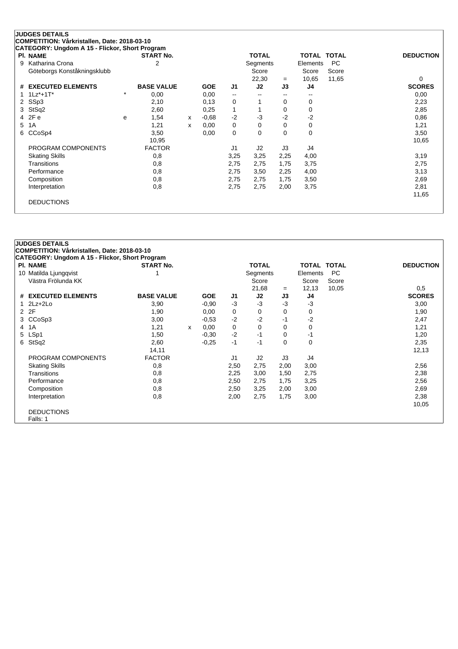| <b>PI. NAME</b>             |         | <b>START No.</b>  |   |            |                          | <b>TOTAL</b>   |          | TOTAL TOTAL |       | <b>DEDUCTION</b> |
|-----------------------------|---------|-------------------|---|------------|--------------------------|----------------|----------|-------------|-------|------------------|
| 9 Katharina Crona           |         | 2                 |   |            |                          | Segments       |          | Elements    | PC.   |                  |
| Göteborgs Konståkningsklubb |         |                   |   |            |                          | Score          |          | Score       | Score |                  |
|                             |         |                   |   |            |                          | 22,30          | $=$      | 10,65       | 11,65 | 0                |
| # EXECUTED ELEMENTS         |         | <b>BASE VALUE</b> |   | <b>GOE</b> | J <sub>1</sub>           | J2             | J3       | J4          |       | <b>SCORES</b>    |
| $1 1Lz^* + 1T^*$            | $\star$ | 0,00              |   | 0,00       | $\overline{\phantom{a}}$ |                | --       |             |       | 0,00             |
| 2 SSp3                      |         | 2,10              |   | 0,13       | 0                        |                | 0        | 0           |       | 2,23             |
| 3 StSq2                     |         | 2,60              |   | 0,25       | 1                        |                | 0        | 0           |       | 2,85             |
| 4 2Fe                       | e       | 1,54              | x | $-0.68$    | $-2$                     | -3             | -2       | $-2$        |       | 0,86             |
| 5 1A                        |         | 1,21              | x | 0,00       | 0                        | 0              | 0        | 0           |       | 1,21             |
| 6 CCoSp4                    |         | 3,50              |   | 0,00       | 0                        | 0              | $\Omega$ | 0           |       | 3,50             |
|                             |         | 10,95             |   |            |                          |                |          |             |       | 10,65            |
| PROGRAM COMPONENTS          |         | <b>FACTOR</b>     |   |            | J1                       | J <sub>2</sub> | J3       | J4          |       |                  |
| <b>Skating Skills</b>       |         | 0,8               |   |            | 3,25                     | 3,25           | 2,25     | 4,00        |       | 3,19             |
| Transitions                 |         | 0,8               |   |            | 2,75                     | 2,75           | 1,75     | 3,75        |       | 2,75             |
| Performance                 |         | 0,8               |   |            | 2,75                     | 3,50           | 2,25     | 4,00        |       | 3,13             |
| Composition                 |         | 0,8               |   |            | 2,75                     | 2,75           | 1,75     | 3,50        |       | 2,69             |
| Interpretation              |         | 0,8               |   |            | 2,75                     | 2,75           | 2,00     | 3,75        |       | 2,81             |
|                             |         |                   |   |            |                          |                |          |             |       | 11,65            |
| <b>DEDUCTIONS</b>           |         |                   |   |            |                          |                |          |             |       |                  |

| <b>PI. NAME</b>       | <b>START No.</b>  |   |            |                | <b>TOTAL</b> |          | TOTAL TOTAL |           | <b>DEDUCTION</b> |
|-----------------------|-------------------|---|------------|----------------|--------------|----------|-------------|-----------|------------------|
| 10 Matilda Ljungqvist |                   |   |            |                | Segments     |          | Elements    | <b>PC</b> |                  |
| Västra Frölunda KK    |                   |   |            |                | Score        |          | Score       | Score     |                  |
|                       |                   |   |            |                | 21,68        | $=$      | 12,13       | 10,05     | 0.5              |
| # EXECUTED ELEMENTS   | <b>BASE VALUE</b> |   | <b>GOE</b> | J <sub>1</sub> | J2           | J3       | J4          |           | <b>SCORES</b>    |
| $1$ $2Lz+2Lo$         | 3,90              |   | $-0.90$    | $-3$           | $-3$         | $-3$     | -3          |           | 3,00             |
| 2 2F                  | 1,90              |   | 0,00       | 0              | 0            | 0        | 0           |           | 1,90             |
| 3 CCoSp3              | 3,00              |   | $-0.53$    | $-2$           | $-2$         | -1       | $-2$        |           | 2,47             |
| 4 1 A                 | 1,21              | x | 0,00       | 0              | $\Omega$     | $\Omega$ | 0           |           | 1,21             |
| 5 LSp1                | 1,50              |   | $-0.30$    | $-2$           | $-1$         | $\Omega$ | -1          |           | 1,20             |
| 6 StSq2               | 2,60              |   | $-0.25$    | $-1$           | -1           | 0        | 0           |           | 2,35             |
|                       | 14,11             |   |            |                |              |          |             |           | 12,13            |
| PROGRAM COMPONENTS    | <b>FACTOR</b>     |   |            | J <sub>1</sub> | J2           | J3       | J4          |           |                  |
| <b>Skating Skills</b> | 0,8               |   |            | 2,50           | 2,75         | 2,00     | 3,00        |           | 2,56             |
| Transitions           | 0,8               |   |            | 2,25           | 3,00         | 1,50     | 2,75        |           | 2,38             |
| Performance           | 0,8               |   |            | 2,50           | 2,75         | 1,75     | 3,25        |           | 2,56             |
| Composition           | 0,8               |   |            | 2,50           | 3,25         | 2,00     | 3,00        |           | 2,69             |
| Interpretation        | 0,8               |   |            | 2,00           | 2,75         | 1,75     | 3,00        |           | 2,38             |
|                       |                   |   |            |                |              |          |             |           | 10,05            |
| <b>DEDUCTIONS</b>     |                   |   |            |                |              |          |             |           |                  |
| Falls: 1              |                   |   |            |                |              |          |             |           |                  |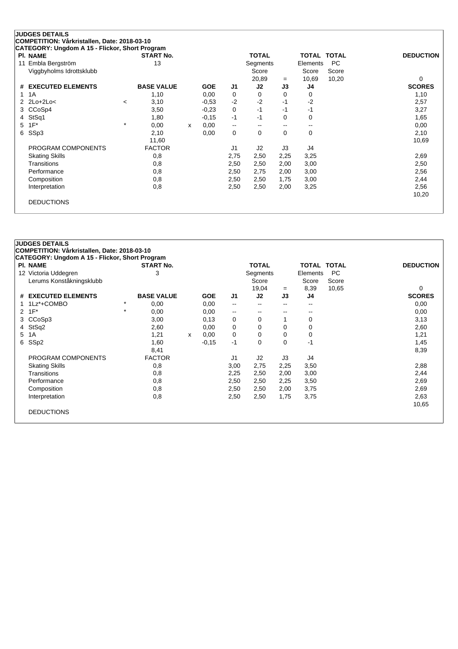#### **JUDGES DETAILS COMPETITION: Vårkristallen, Date: 2018-03-10**

**CATEGORY: Ungdom A 15 - Flickor, Short Program Pl. NAME START No. TOTAL TOTAL TOTAL DEDUCTION** 11 Embla Bergström 13 13 Segments Elements PC<br>Viggbyholms Idrottsklubb 13 13 Score Score Score Score Score Viggbyholms Idrottsklubb Score Score Score Score Score Score Score Score Score Score Score Score Score Score Score Score Score Score Score Score Score Score Score Score Score Score Score Score Score Score Score Score Score  $=$  10,69 10,20 0 **# EXECUTED ELEMENTS BASE VALUE GOE J1 J2 J3 J4 SCORES** 1 1A 1,10 0,00 0 0 0 0 1,10 2 2Lo+2Lo< <sup>&</sup>lt; 3,10 -0,53 -2 -2 -1 -2 2,57 3 CCoSp4 3,50 -0,23 0 -1 -1 -1 3,27 4 StSq1 1,80 -0,15 -1 -1 0 0 1,65 5 1F\* \* 0,00 <sup>x</sup> 0,00 -- -- -- -- 0,00 6 SSp3 2,10 0,00 0 0 0 0 2,10 11,60 10,69 PROGRAM COMPONENTS FACTOR J1 J2 J3 J4 Skating Skills 0,8 2,75 2,50 2,25 3,25 2,69 Transitions 0,8 2,50 2,50 2,00 3,00 2,50 Performance 0,8 2,50 2,75 2,00 3,00 2,56 Composition 0,8 2,50 2,50 1,75 3,00 2,44 Interpretation 0,8 2,50 2,50 2,00 3,25 2,56 10,20 DEDUCTIONS

| <b>PI. NAME</b>          |          | <b>START No.</b>  |   |            |                          | <b>TOTAL</b>   |          | <b>TOTAL TOTAL</b> |           | <b>DEDUCTION</b> |
|--------------------------|----------|-------------------|---|------------|--------------------------|----------------|----------|--------------------|-----------|------------------|
| 12 Victoria Uddegren     |          | 3                 |   |            |                          | Segments       |          | Elements           | <b>PC</b> |                  |
| Lerums Konståkningsklubb |          |                   |   |            |                          | Score          |          | Score              | Score     |                  |
|                          |          |                   |   |            |                          | 19,04          | $=$      | 8,39               | 10,65     | 0                |
| # EXECUTED ELEMENTS      |          | <b>BASE VALUE</b> |   | <b>GOE</b> | J <sub>1</sub>           | J2             | J3       | J4                 |           | <b>SCORES</b>    |
| 1Lz*+COMBO               | $^\star$ | 0,00              |   | 0,00       | $\overline{\phantom{a}}$ | $\sim$         | $-$      | $- -$              |           | 0,00             |
| $1F^*$<br>$\mathbf{2}$   | $\star$  | 0,00              |   | 0,00       | $\overline{\phantom{a}}$ | $\sim$         | $\sim$   |                    |           | 0,00             |
| CCoSp3<br>3              |          | 3,00              |   | 0,13       | 0                        | 0              |          | 0                  |           | 3,13             |
| 4 StSq2                  |          | 2,60              |   | 0,00       | 0                        | 0              | 0        | 0                  |           | 2,60             |
| 5 1A                     |          | 1,21              | x | 0,00       | 0                        | $\Omega$       | $\Omega$ | 0                  |           | 1,21             |
| SS <sub>p2</sub><br>6    |          | 1,60              |   | $-0,15$    | $-1$                     | $\mathbf 0$    | $\Omega$ | $-1$               |           | 1,45             |
|                          |          | 8,41              |   |            |                          |                |          |                    |           | 8,39             |
| PROGRAM COMPONENTS       |          | <b>FACTOR</b>     |   |            | J1                       | J <sub>2</sub> | J3       | J4                 |           |                  |
| <b>Skating Skills</b>    |          | 0,8               |   |            | 3,00                     | 2,75           | 2,25     | 3,50               |           | 2,88             |
| Transitions              |          | 0,8               |   |            | 2,25                     | 2,50           | 2,00     | 3,00               |           | 2,44             |
| Performance              |          | 0,8               |   |            | 2,50                     | 2,50           | 2,25     | 3,50               |           | 2,69             |
| Composition              |          | 0,8               |   |            | 2,50                     | 2,50           | 2,00     | 3,75               |           | 2,69             |
| Interpretation           |          | 0,8               |   |            | 2,50                     | 2,50           | 1,75     | 3,75               |           | 2,63             |
|                          |          |                   |   |            |                          |                |          |                    |           | 10,65            |